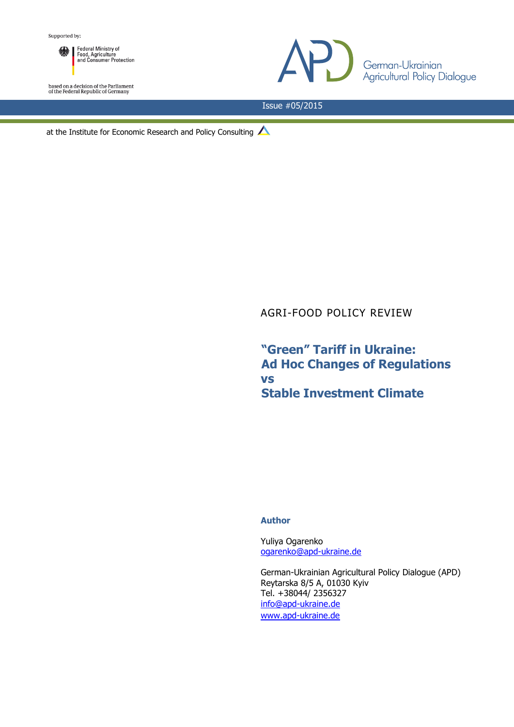Federal Ministry of<br>Food, Agriculture<br>and Consumer Protection ▒┃

based on a decision of the Parliament<br>of the Federal Republic of Germany



Issue #05/2015

at the Institute for Economic Research and Policy Consulting  $\triangle$ 

# AGRI-FOOD POLICY REVIEW

**"Green" Tariff in Ukraine: Ad Hoc Changes of Regulations vs Stable Investment Climate**

#### **Author**

Yuliya Ogarenko [ogarenko@apd-ukraine.de](mailto:ogarenko@apd-ukraine.de)

German-Ukrainian Agricultural Policy Dialogue (APD) Reytarska 8/5 A, 01030 Kyiv Tel. +38044/ 2356327 [info@apd-ukraine.de](mailto:info@apd-ukraine.de) [www.apd-ukraine.de](http://www.apd-ukraine.de/)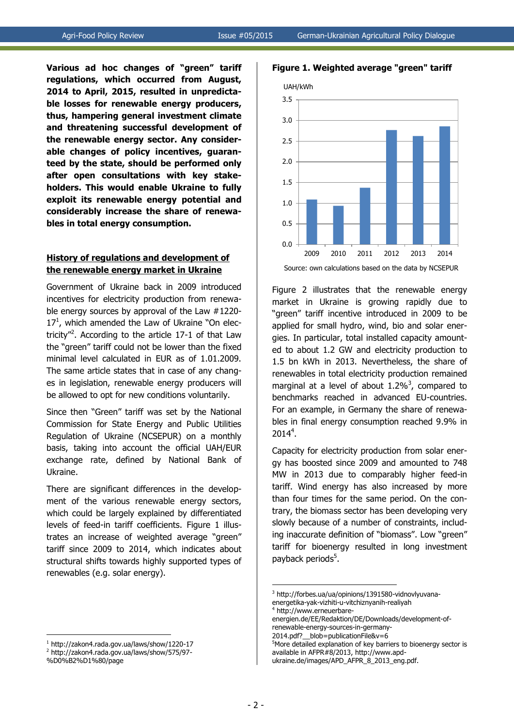**Figure 1. Weighted average "green" tariff**

**Various ad hoc changes of "green" tariff regulations, which occurred from August, 2014 to April, 2015, resulted in unpredictable losses for renewable energy producers, thus, hampering general investment climate and threatening successful development of the renewable energy sector. Any considerable changes of policy incentives, guaranteed by the state, should be performed only after open consultations with key stakeholders. This would enable Ukraine to fully exploit its renewable energy potential and considerably increase the share of renewables in total energy consumption.**

#### **History of regulations and development of the renewable energy market in Ukraine**

Government of Ukraine back in 2009 introduced incentives for electricity production from renewable energy sources by approval of the Law #1220-  $17<sup>1</sup>$ , which amended the Law of Ukraine "On electricity"<sup>2</sup>. According to the article 17-1 of that Law the "green" tariff could not be lower than the fixed minimal level calculated in EUR as of 1.01.2009. The same article states that in case of any changes in legislation, renewable energy producers will be allowed to opt for new conditions voluntarily.

Since then "Green" tariff was set by the National Commission for State Energy and Public Utilities Regulation of Ukraine (NCSEPUR) on a monthly basis, taking into account the official UAH/EUR exchange rate, defined by National Bank of Ukraine.

There are significant differences in the development of the various renewable energy sectors, which could be largely explained by differentiated levels of feed-in tariff coefficients. Figure 1 illustrates an increase of weighted average "green" tariff since 2009 to 2014, which indicates about structural shifts towards highly supported types of renewables (e.g. solar energy).



Source: own calculations based on the data by NCSEPUR

Figure 2 illustrates that the renewable energy market in Ukraine is growing rapidly due to "green" tariff incentive introduced in 2009 to be applied for small hydro, wind, bio and solar energies. In particular, total installed capacity amounted to about 1.2 GW and electricity production to 1.5 bn kWh in 2013. Nevertheless, the share of renewables in total electricity production remained marginal at a level of about  $1.2\%$ <sup>3</sup>, compared to benchmarks reached in advanced EU-countries. For an example, in Germany the share of renewables in final energy consumption reached 9.9% in 2014<sup>4</sup>.

Capacity for electricity production from solar energy has boosted since 2009 and amounted to 748 MW in 2013 due to comparably higher feed-in tariff. Wind energy has also increased by more than four times for the same period. On the contrary, the biomass sector has been developing very slowly because of a number of constraints, including inaccurate definition of "biomass". Low "green" tariff for bioenergy resulted in long investment payback periods 5 .

1

<sup>1</sup> 1 http://zakon4.rada.gov.ua/laws/show/1220-17

<sup>2</sup> http://zakon4.rada.gov.ua/laws/show/575/97-

<sup>%</sup>D0%B2%D1%80/page

<sup>3</sup> http://forbes.ua/ua/opinions/1391580-vidnovlyuvanaenergetika-yak-vizhiti-u-vitchiznyanih-realiyah 4

http://www.erneuerbare-

energien.de/EE/Redaktion/DE/Downloads/development-ofrenewable-energy-sources-in-germany-

<sup>2014.</sup>pdf?\_\_blob=publicationFile&v=6

<sup>&</sup>lt;sup>5</sup>More detailed explanation of key barriers to bioenergy sector is available in AFPR#8/2013, http://www.apd-

ukraine.de/images/APD\_AFPR\_8\_2013\_eng.pdf.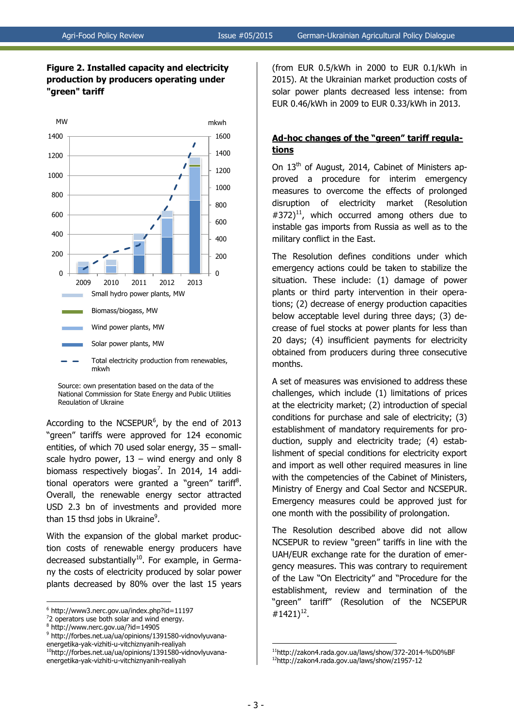

### **Figure 2. Installed capacity and electricity production by producers operating under "green" tariff**

Source: own presentation based on the data of the National Commission for State Energy and Public Utilities Regulation of Ukraine

According to the NCSEPUR $^6$ , by the end of 2013 "green" tariffs were approved for 124 economic entities, of which 70 used solar energy, 35 – smallscale hydro power,  $13 -$  wind energy and only 8 biomass respectively biogas<sup>7</sup>. In 2014, 14 additional operators were granted a "green" tariff<sup>8</sup>. Overall, the renewable energy sector attracted USD 2.3 bn of investments and provided more than 15 thsd jobs in Ukraine<sup>9</sup>.

With the expansion of the global market production costs of renewable energy producers have decreased substantially<sup>10</sup>. For example, in Germany the costs of electricity produced by solar power plants decreased by 80% over the last 15 years

<u>.</u>

<sup>10</sup>http://forbes.net.ua/ua/opinions/1391580-vidnovlyuvana-

energetika-yak-vizhiti-u-vitchiznyanih-realiyah

(from EUR 0.5/kWh in 2000 to EUR 0.1/kWh in 2015). At the Ukrainian market production costs of solar power plants decreased less intense: from EUR 0.46/kWh in 2009 to EUR 0.33/kWh in 2013.

## **Ad-hoc changes of the "green" tariff regulations**

On 13<sup>th</sup> of August, 2014, Cabinet of Ministers approved a procedure for interim emergency measures to overcome the effects of prolonged disruption of electricity market (Resolution  $\text{\#372}$ <sup>11</sup>, which occurred among others due to instable gas imports from Russia as well as to the military conflict in the East.

The Resolution defines conditions under which emergency actions could be taken to stabilize the situation. These include: (1) damage of power plants or third party intervention in their operations; (2) decrease of energy production capacities below acceptable level during three days; (3) decrease of fuel stocks at power plants for less than 20 days; (4) insufficient payments for electricity obtained from producers during three consecutive months.

A set of measures was envisioned to address these challenges, which include (1) limitations of prices at the electricity market; (2) introduction of special conditions for purchase and sale of electricity; (3) establishment of mandatory requirements for production, supply and electricity trade; (4) establishment of special conditions for electricity export and import as well other required measures in line with the competencies of the Cabinet of Ministers, Ministry of Energy and Coal Sector and NCSEPUR. Emergency measures could be approved just for one month with the possibility of prolongation.

The Resolution described above did not allow NCSEPUR to review "green" tariffs in line with the UAH/EUR exchange rate for the duration of emergency measures. This was contrary to requirement of the Law "On Electricity" and "Procedure for the establishment, review and termination of the "green" tariff" (Resolution of the NCSEPUR #1421)<sup>12</sup>.

1

<sup>6</sup> http://www3.nerc.gov.ua/index.php?id=11197

 $\frac{7}{2}$  operators use both solar and wind energy.

<sup>8</sup> http://www.nerc.gov.ua/?id=14905

<sup>&</sup>lt;sup>9</sup> http://forbes.net.ua/ua/opinions/1391580-vidnovlyuvanaenergetika-yak-vizhiti-u-vitchiznyanih-realiyah

<sup>11</sup>http://zakon4.rada.gov.ua/laws/show/372-2014-%D0%BF <sup>12</sup>http://zakon4.rada.gov.ua/laws/show/z1957-12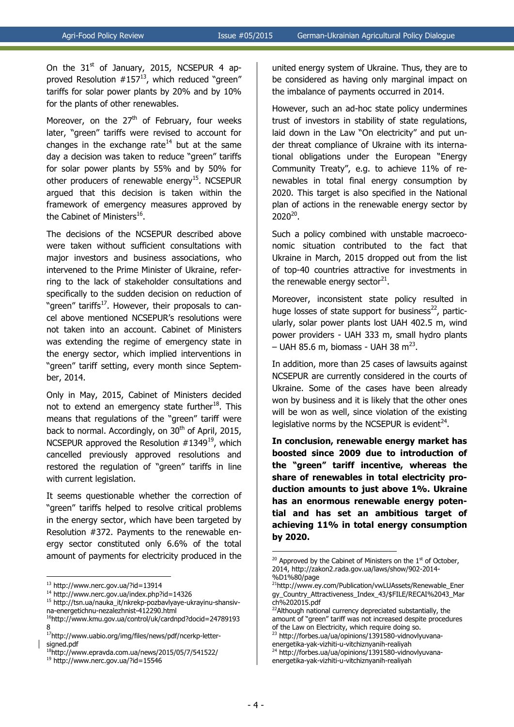On the  $31<sup>st</sup>$  of January, 2015, NCSEPUR 4 approved Resolution  $#157^{13}$ , which reduced "green" tariffs for solar power plants by 20% and by 10% for the plants of other renewables.

Moreover, on the  $27<sup>th</sup>$  of February, four weeks later, "green" tariffs were revised to account for changes in the exchange rate<sup>14</sup> but at the same day a decision was taken to reduce "green" tariffs for solar power plants by 55% and by 50% for other producers of renewable energy<sup>15</sup>. NCSEPUR argued that this decision is taken within the framework of emergency measures approved by the Cabinet of Ministers<sup>16</sup>.

The decisions of the NCSEPUR described above were taken without sufficient consultations with major investors and business associations, who intervened to the Prime Minister of Ukraine, referring to the lack of stakeholder consultations and specifically to the sudden decision on reduction of "green" tariffs<sup>17</sup>. However, their proposals to cancel above mentioned NCSEPUR's resolutions were not taken into an account. Cabinet of Ministers was extending the regime of emergency state in the energy sector, which implied interventions in "green" tariff setting, every month since September, 2014.

Only in May, 2015, Cabinet of Ministers decided not to extend an emergency state further<sup>18</sup>. This means that regulations of the "green" tariff were back to normal. Accordingly, on 30<sup>th</sup> of April, 2015, NCSEPUR approved the Resolution  $#1349^{19}$ , which cancelled previously approved resolutions and restored the regulation of "green" tariffs in line with current legislation.

It seems questionable whether the correction of "green" tariffs helped to resolve critical problems in the energy sector, which have been targeted by Resolution #372. Payments to the renewable energy sector constituted only 6.6% of the total amount of payments for electricity produced in the

1

united energy system of Ukraine. Thus, they are to be considered as having only marginal impact on the imbalance of payments occurred in 2014.

However, such an ad-hoc state policy undermines trust of investors in stability of state regulations, laid down in the Law "On electricity" and put under threat compliance of Ukraine with its international obligations under the European "Energy Community Treaty", e.g. to achieve 11% of renewables in total final energy consumption by 2020. This target is also specified in the National plan of actions in the renewable energy sector by  $2020^{20}$ .

Such a policy combined with unstable macroeconomic situation contributed to the fact that Ukraine in March, 2015 dropped out from the list of top-40 countries attractive for investments in the renewable energy sector $^{21}$ .

Moreover, inconsistent state policy resulted in huge losses of state support for business $^{22}$ , particularly, solar power plants lost UAH 402.5 m, wind power providers - UAH 333 m, small hydro plants  $-$  UAH 85.6 m, biomass - UAH 38 m<sup>23</sup>.

In addition, more than 25 cases of lawsuits against NCSEPUR are currently considered in the courts of Ukraine. Some of the cases have been already won by business and it is likely that the other ones will be won as well, since violation of the existing legislative norms by the NCSEPUR is evident $^{24}$ .

**In conclusion, renewable energy market has boosted since 2009 due to introduction of the "green" tariff incentive, whereas the share of renewables in total electricity production amounts to just above 1%. Ukraine has an enormous renewable energy potential and has set an ambitious target of achieving 11% in total energy consumption by 2020.**

<sup>23</sup> http://forbes.ua/ua/opinions/1391580-vidnovlyuvanaenergetika-yak-vizhiti-u-vitchiznyanih-realiyah <sup>24</sup> http://forbes.ua/ua/opinions/1391580-vidnovlyuvana-

energetika-yak-vizhiti-u-vitchiznyanih-realiyah

1

<sup>13</sup> http://www.nerc.gov.ua/?id=13914

<sup>14</sup> http://www.nerc.gov.ua/index.php?id=14326

<sup>15</sup> http://tsn.ua/nauka\_it/nkrekp-pozbavlyaye-ukrayinu-shansivna-energetichnu-nezalezhnist-412290.html

<sup>16</sup>http://www.kmu.gov.ua/control/uk/cardnpd?docid=24789193 8

<sup>17</sup>http://www.uabio.org/img/files/news/pdf/ncerkp-lettersigned.pdf

<sup>18</sup>http://www.epravda.com.ua/news/2015/05/7/541522/

<sup>19</sup> http://www.nerc.gov.ua/?id=15546

 $20$  Approved by the Cabinet of Ministers on the  $1<sup>st</sup>$  of October, 2014, http://zakon2.rada.gov.ua/laws/show/902-2014- %D1%80/page

<sup>21</sup>http://www.ey.com/Publication/vwLUAssets/Renewable\_Ener gy\_Country\_Attractiveness\_Index\_43/\$FILE/RECAI%2043\_Mar ch%202015.pdf

<sup>&</sup>lt;sup>22</sup>Although national currency depreciated substantially, the amount of "green" tariff was not increased despite procedures of the Law on Electricity, which require doing so.